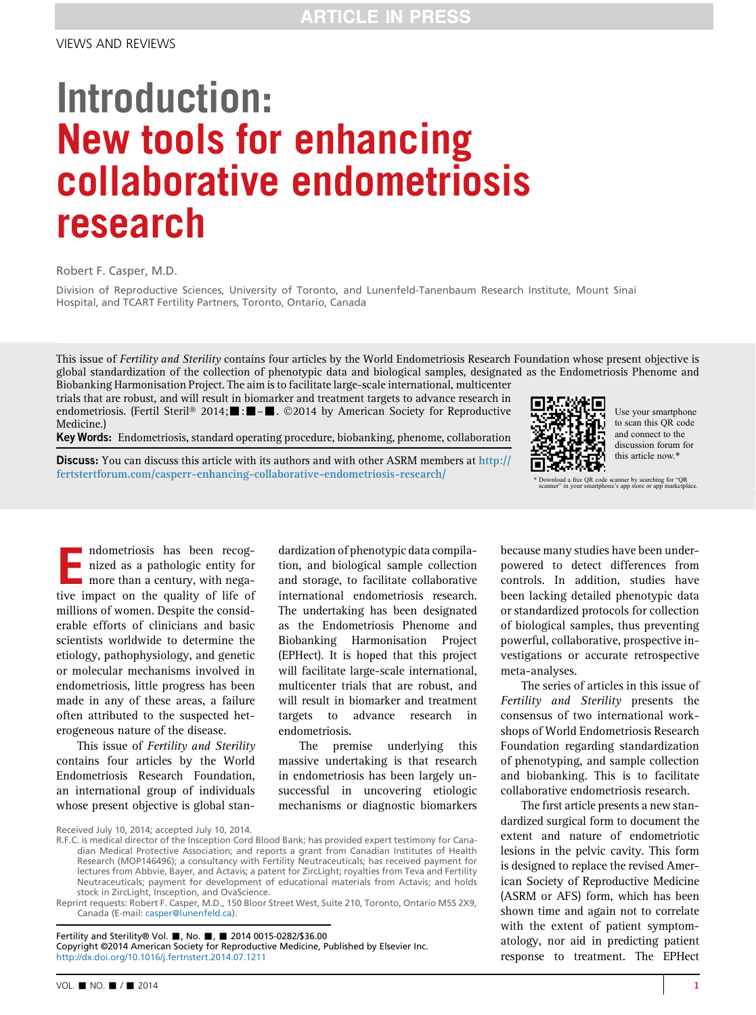## Introduction: New tools for enhancing collaborative endometriosis research

Robert F. Casper, M.D.

Division of Reproductive Sciences, University of Toronto, and Lunenfeld-Tanenbaum Research Institute, Mount Sinai Hospital, and TCART Fertility Partners, Toronto, Ontario, Canada

This issue of Fertility and Sterility contains four articles by the World Endometriosis Research Foundation whose present objective is global standardization of the collection of phenotypic data and biological samples, designated as the Endometriosis Phenome and

Biobanking Harmonisation Project. The aim is to facilitate large-scale international, multicenter trials that are robust, and will result in biomarker and treatment targets to advance research in endometriosis. (Fertil Steril® 2014;  $\blacksquare$ :  $\blacksquare$ - $\blacksquare$ . ©2014 by American Society for Reproductive Medicine.)

Key Words: Endometriosis, standard operating procedure, biobanking, phenome, collaboration

**Discuss:** You can discuss this article with its authors and with other ASRM members at [http://](http://fertstertforum.com/casperr-enhancing-collaborative-endometriosis-research/) [fertstertforum.com/casperr-enhancing-collaborative-endometriosis-research/](http://fertstertforum.com/casperr-enhancing-collaborative-endometriosis-research/)



Use your smartphone to scan this QR code and connect to the discussion forum for this article now.\*

\* Download a free QR code scanner by searching for "QR scanner" in your smartphone's app store or app marketplace.

mdometriosis has been recog-<br>nized as a pathologic entity for<br>more than a century, with nega-<br>tive impact on the quality of life of nized as a pathologic entity for tive impact on the quality of life of millions of women. Despite the considerable efforts of clinicians and basic scientists worldwide to determine the etiology, pathophysiology, and genetic or molecular mechanisms involved in endometriosis, little progress has been made in any of these areas, a failure often attributed to the suspected heterogeneous nature of the disease.

This issue of Fertility and Sterility contains four articles by the World Endometriosis Research Foundation, an international group of individuals whose present objective is global stan-

Received July 10, 2014; accepted July 10, 2014.

R.F.C. is medical director of the Insception Cord Blood Bank; has provided expert testimony for Canadian Medical Protective Association; and reports a grant from Canadian Institutes of Health Research (MOP146496); a consultancy with Fertility Neutraceuticals; has received payment for lectures from Abbvie, Bayer, and Actavis; a patent for ZircLight; royalties from Teva and Fertility Neutraceuticals; payment for development of educational materials from Actavis; and holds stock in ZircLight, Insception, and OvaScience.

Reprint requests: Robert F. Casper, M.D., 150 Bloor Street West, Suite 210, Toronto, Ontario M5S 2X9, Canada (E-mail: [casper@lunenfeld.ca\)](mailto:casper@lunenfeld.ca).

Fertility and Sterility® Vol. |, No. |, 2014 0015-0282/\$36.00 Copyright ©2014 American Society for Reproductive Medicine, Published by Elsevier Inc. <http://dx.doi.org/10.1016/j.fertnstert.2014.07.1211>

dardization of phenotypic data compilation, and biological sample collection and storage, to facilitate collaborative international endometriosis research. The undertaking has been designated as the Endometriosis Phenome and Biobanking Harmonisation Project (EPHect). It is hoped that this project will facilitate large-scale international, multicenter trials that are robust, and will result in biomarker and treatment targets to advance research in endometriosis.

The premise underlying this massive undertaking is that research in endometriosis has been largely unsuccessful in uncovering etiologic mechanisms or diagnostic biomarkers because many studies have been underpowered to detect differences from controls. In addition, studies have been lacking detailed phenotypic data or standardized protocols for collection of biological samples, thus preventing powerful, collaborative, prospective investigations or accurate retrospective meta-analyses.

The series of articles in this issue of Fertility and Sterility presents the consensus of two international workshops of World Endometriosis Research Foundation regarding standardization of phenotyping, and sample collection and biobanking. This is to facilitate collaborative endometriosis research.

The first article presents a new standardized surgical form to document the extent and nature of endometriotic lesions in the pelvic cavity. This form is designed to replace the revised American Society of Reproductive Medicine (ASRM or AFS) form, which has been shown time and again not to correlate with the extent of patient symptomatology, nor aid in predicting patient response to treatment. The EPHect